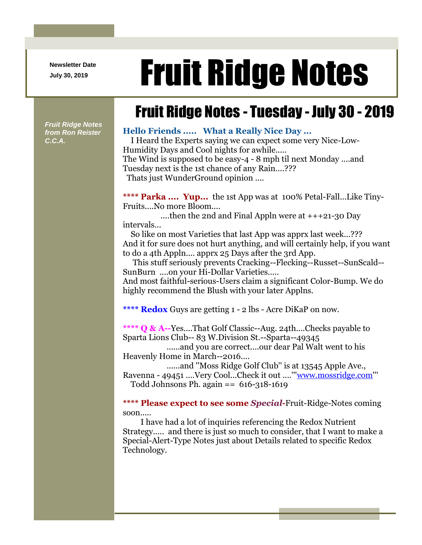**Newsletter Date**

## Newsletter Date **Fruit Ridge Notes**

## Fruit Ridge Notes - Tuesday - July 30 - 2019

*Fruit Ridge Notes from Ron Reister C.C.A.*

## **Hello Friends ..... What a Really Nice Day ...**

I Heard the Experts saying we can expect some very Nice-Low-Humidity Days and Cool nights for awhile.....

The Wind is supposed to be easy-4 - 8 mph til next Monday ....and Tuesday next is the 1st chance of any Rain....???

Thats just WunderGround opinion ....

**\*\*\*\* Parka .... Yup...** the 1st App was at 100% Petal-Fall...Like Tiny-Fruits....No more Bloom....

....then the 2nd and Final Appln were at  $+++21-30$  Day intervals...

So like on most Varieties that last App was apprx last week...??? And it for sure does not hurt anything, and will certainly help, if you want to do a 4th Appln.... apprx 25 Days after the 3rd App.

This stuff seriously prevents Cracking--Flecking--Russet--SunScald-- SunBurn ....on your Hi-Dollar Varieties.....

And most faithful-serious-Users claim a significant Color-Bump. We do highly recommend the Blush with your later Applns.

**\*\*\*\* Redox** Guys are getting 1 - 2 lbs - Acre DiKaP on now.

**\*\*\*\* Q & A--**Yes....That Golf Classic--Aug. 24th....Checks payable to Sparta Lions Club-- 83 W.Division St.--Sparta--49345

......and you are correct....our dear Pal Walt went to his Heavenly Home in March--2016....

......and "Moss Ridge Golf Club" is at 13545 Apple Ave.,

Ravenna - 49451 ....Very Cool...Check it out ....''['www.mossridge.com'](http://www.mossridge.com/)'' Todd Johnsons Ph. again  $== 616-318-1619$ 

**\*\*\*\* Please expect to see some** *Special***-**Fruit-Ridge-Notes coming soon.....

I have had a lot of inquiries referencing the Redox Nutrient Strategy..... and there is just so much to consider, that I want to make a Special-Alert-Type Notes just about Details related to specific Redox Technology.